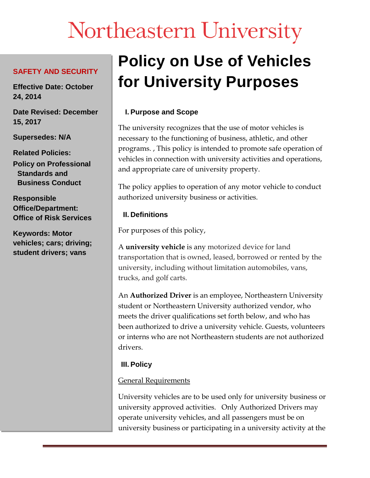# Northeastern University

#### **SAFETY AND SECURITY**

**Effective Date: October 24, 2014**

**Date Revised: December 15, 2017**

**Supersedes: N/A**

**Related Policies: Policy on Professional Standards and Business Conduct**

**Responsible Office/Department: Office of Risk Services**

**Keywords: Motor vehicles; cars; driving; student drivers; vans**

# **Policy on Use of Vehicles for University Purposes**

# **I. Purpose and Scope**

The university recognizes that the use of motor vehicles is necessary to the functioning of business, athletic, and other programs. , This policy is intended to promote safe operation of vehicles in connection with university activities and operations, and appropriate care of university property.

The policy applies to operation of any motor vehicle to conduct authorized university business or activities.

#### **II. Definitions**

For purposes of this policy,

A **university vehicle** is any motorized device for land transportation that is owned, leased, borrowed or rented by the university, including without limitation automobiles, vans, trucks, and golf carts.

An **Authorized Driver** is an employee, Northeastern University student or Northeastern University authorized vendor, who meets the driver qualifications set forth below, and who has been authorized to drive a university vehicle. Guests, volunteers or interns who are not Northeastern students are not authorized drivers.

# **III. Policy**

#### General Requirements

University vehicles are to be used only for university business or university approved activities. Only Authorized Drivers may operate university vehicles, and all passengers must be on university business or participating in a university activity at the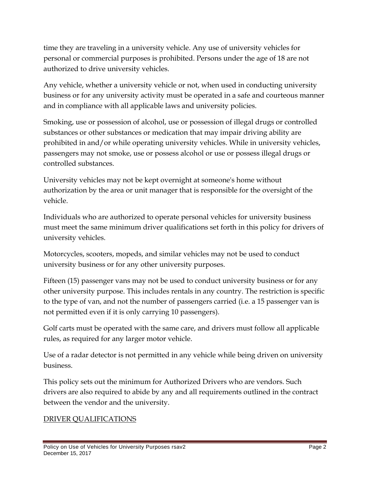time they are traveling in a university vehicle. Any use of university vehicles for personal or commercial purposes is prohibited. Persons under the age of 18 are not authorized to drive university vehicles.

Any vehicle, whether a university vehicle or not, when used in conducting university business or for any university activity must be operated in a safe and courteous manner and in compliance with all applicable laws and university policies.

Smoking, use or possession of alcohol, use or possession of illegal drugs or controlled substances or other substances or medication that may impair driving ability are prohibited in and/or while operating university vehicles. While in university vehicles, passengers may not smoke, use or possess alcohol or use or possess illegal drugs or controlled substances.

University vehicles may not be kept overnight at someone's home without authorization by the area or unit manager that is responsible for the oversight of the vehicle.

Individuals who are authorized to operate personal vehicles for university business must meet the same minimum driver qualifications set forth in this policy for drivers of university vehicles.

Motorcycles, scooters, mopeds, and similar vehicles may not be used to conduct university business or for any other university purposes.

Fifteen (15) passenger vans may not be used to conduct university business or for any other university purpose. This includes rentals in any country. The restriction is specific to the type of van, and not the number of passengers carried (i.e. a 15 passenger van is not permitted even if it is only carrying 10 passengers).

Golf carts must be operated with the same care, and drivers must follow all applicable rules, as required for any larger motor vehicle.

Use of a radar detector is not permitted in any vehicle while being driven on university business.

This policy sets out the minimum for Authorized Drivers who are vendors. Such drivers are also required to abide by any and all requirements outlined in the contract between the vendor and the university.

#### DRIVER QUALIFICATIONS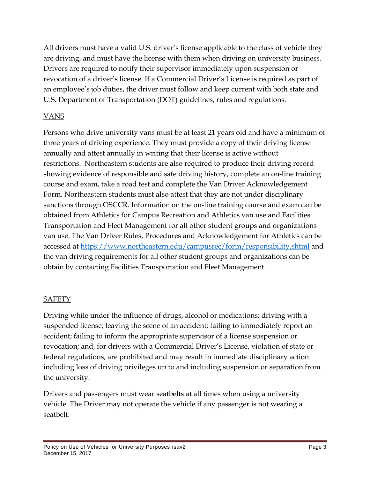All drivers must have a valid U.S. driver's license applicable to the class of vehicle they are driving, and must have the license with them when driving on university business. Drivers are required to notify their supervisor immediately upon suspension or revocation of a driver's license. If a Commercial Driver's License is required as part of an employee's job duties, the driver must follow and keep current with both state and U.S. Department of Transportation (DOT) guidelines, rules and regulations.

# VANS

Persons who drive university vans must be at least 21 years old and have a minimum of three years of driving experience. They must provide a copy of their driving license annually and attest annually in writing that their license is active without restrictions. Northeastern students are also required to produce their driving record showing evidence of responsible and safe driving history, complete an on-line training course and exam, take a road test and complete the Van Driver Acknowledgement Form. Northeastern students must also attest that they are not under disciplinary sanctions through OSCCR. Information on the on-line training course and exam can be obtained from Athletics for Campus Recreation and Athletics van use and Facilities Transportation and Fleet Management for all other student groups and organizations van use. The Van Driver Rules, Procedures and Acknowledgement for Athletics can be accessed at <https://www.northeastern.edu/campusrec/form/responsibility.shtml> and the van driving requirements for all other student groups and organizations can be obtain by contacting Facilities Transportation and Fleet Management.

#### SAFETY

Driving while under the influence of drugs, alcohol or medications; driving with a suspended license; leaving the scene of an accident; failing to immediately report an accident; failing to inform the appropriate supervisor of a license suspension or revocation; and, for drivers with a Commercial Driver's License, violation of state or federal regulations, are prohibited and may result in immediate disciplinary action including loss of driving privileges up to and including suspension or separation from the university.

Drivers and passengers must wear seatbelts at all times when using a university vehicle. The Driver may not operate the vehicle if any passenger is not wearing a seatbelt.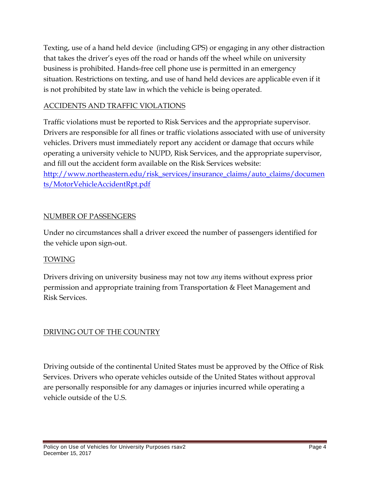Texting, use of a hand held device (including GPS) or engaging in any other distraction that takes the driver's eyes off the road or hands off the wheel while on university business is prohibited. Hands-free cell phone use is permitted in an emergency situation. Restrictions on texting, and use of hand held devices are applicable even if it is not prohibited by state law in which the vehicle is being operated.

## ACCIDENTS AND TRAFFIC VIOLATIONS

Traffic violations must be reported to Risk Services and the appropriate supervisor. Drivers are responsible for all fines or traffic violations associated with use of university vehicles. Drivers must immediately report any accident or damage that occurs while operating a university vehicle to NUPD, Risk Services, and the appropriate supervisor, and fill out the accident form available on the Risk Services website: [http://www.northeastern.edu/risk\\_services/insurance\\_claims/auto\\_claims/documen](http://www.northeastern.edu/risk_services/insurance_claims/auto_claims/documents/MotorVehicleAccidentRpt.pdf) [ts/MotorVehicleAccidentRpt.pdf](http://www.northeastern.edu/risk_services/insurance_claims/auto_claims/documents/MotorVehicleAccidentRpt.pdf)

#### NUMBER OF PASSENGERS

Under no circumstances shall a driver exceed the number of passengers identified for the vehicle upon sign-out.

#### TOWING

Drivers driving on university business may not tow *any* items without express prior permission and appropriate training from Transportation & Fleet Management and Risk Services.

# DRIVING OUT OF THE COUNTRY

Driving outside of the continental United States must be approved by the Office of Risk Services. Drivers who operate vehicles outside of the United States without approval are personally responsible for any damages or injuries incurred while operating a vehicle outside of the U.S.